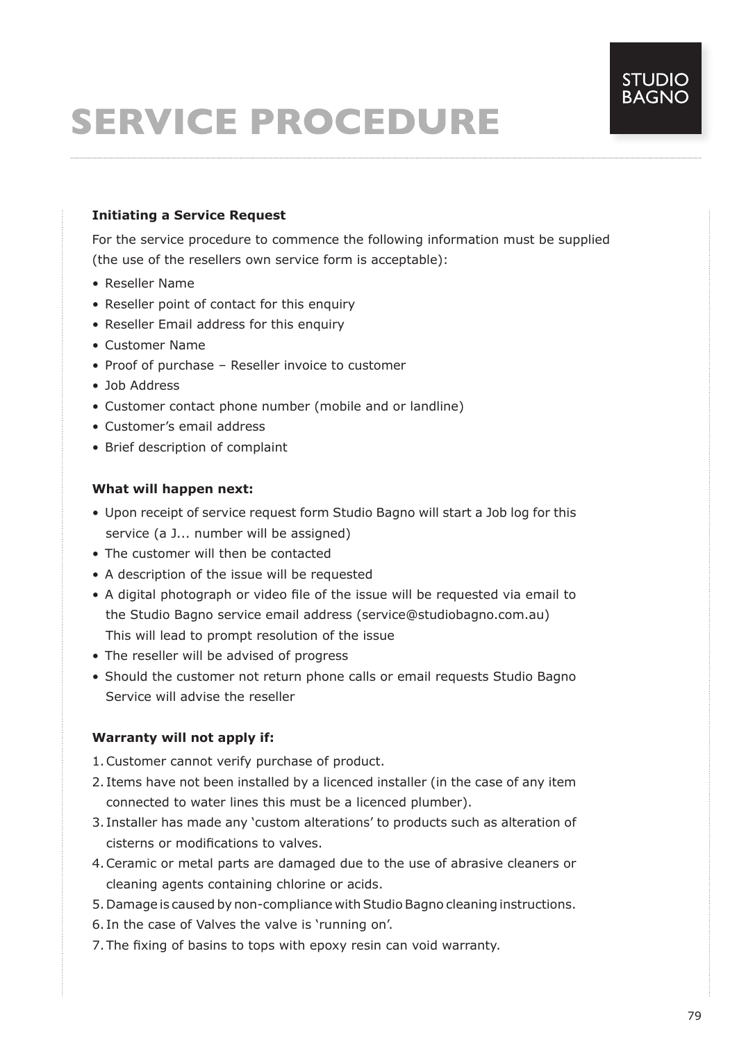# **SERVICE PROCEDURE**

# **Initiating a Service Request**

For the service procedure to commence the following information must be supplied (the use of the resellers own service form is acceptable):

- Reseller Name
- Reseller point of contact for this enquiry
- Reseller Email address for this enquiry
- Customer Name
- Proof of purchase Reseller invoice to customer
- Job Address
- Customer contact phone number (mobile and or landline)
- Customer's email address
- Brief description of complaint

## **What will happen next:**

- Upon receipt of service request form Studio Bagno will start a Job log for this service (a J... number will be assigned)
- The customer will then be contacted
- A description of the issue will be requested
- A digital photograph or video file of the issue will be requested via email to the Studio Bagno service email address (service@studiobagno.com.au) This will lead to prompt resolution of the issue
- The reseller will be advised of progress
- Should the customer not return phone calls or email requests Studio Bagno Service will advise the reseller

#### **Warranty will not apply if:**

- 1.Customer cannot verify purchase of product.
- 2. Items have not been installed by a licenced installer (in the case of any item connected to water lines this must be a licenced plumber).
- 3. Installer has made any 'custom alterations' to products such as alteration of cisterns or modifications to valves.
- 4.Ceramic or metal parts are damaged due to the use of abrasive cleaners or cleaning agents containing chlorine or acids.
- 5. Damage is caused by non-compliance with Studio Bagno cleaning instructions.
- 6. In the case of Valves the valve is 'running on'.
- 7.The fixing of basins to tops with epoxy resin can void warranty.

**STUDIO**